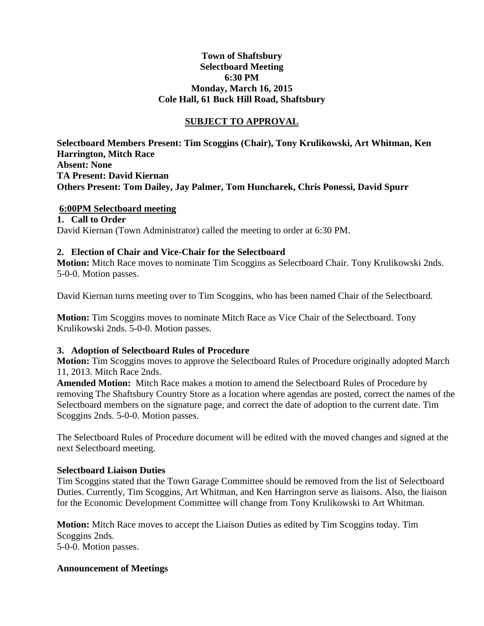### **Town of Shaftsbury Selectboard Meeting 6:30 PM Monday, March 16, 2015 Cole Hall, 61 Buck Hill Road, Shaftsbury**

### **SUBJECT TO APPROVAL**

**Selectboard Members Present: Tim Scoggins (Chair), Tony Krulikowski, Art Whitman, Ken Harrington, Mitch Race Absent: None TA Present: David Kiernan Others Present: Tom Dailey, Jay Palmer, Tom Huncharek, Chris Ponessi, David Spurr**

### **6:00PM Selectboard meeting**

**1. Call to Order** David Kiernan (Town Administrator) called the meeting to order at 6:30 PM.

### **2. Election of Chair and Vice-Chair for the Selectboard**

**Motion:** Mitch Race moves to nominate Tim Scoggins as Selectboard Chair. Tony Krulikowski 2nds. 5-0-0. Motion passes.

David Kiernan turns meeting over to Tim Scoggins, who has been named Chair of the Selectboard.

**Motion:** Tim Scoggins moves to nominate Mitch Race as Vice Chair of the Selectboard. Tony Krulikowski 2nds. 5-0-0. Motion passes.

### **3. Adoption of Selectboard Rules of Procedure**

**Motion:** Tim Scoggins moves to approve the Selectboard Rules of Procedure originally adopted March 11, 2013. Mitch Race 2nds.

**Amended Motion:** Mitch Race makes a motion to amend the Selectboard Rules of Procedure by removing The Shaftsbury Country Store as a location where agendas are posted, correct the names of the Selectboard members on the signature page, and correct the date of adoption to the current date. Tim Scoggins 2nds. 5-0-0. Motion passes.

The Selectboard Rules of Procedure document will be edited with the moved changes and signed at the next Selectboard meeting.

### **Selectboard Liaison Duties**

Tim Scoggins stated that the Town Garage Committee should be removed from the list of Selectboard Duties. Currently, Tim Scoggins, Art Whitman, and Ken Harrington serve as liaisons. Also, the liaison for the Economic Development Committee will change from Tony Krulikowski to Art Whitman.

**Motion:** Mitch Race moves to accept the Liaison Duties as edited by Tim Scoggins today. Tim Scoggins 2nds. 5-0-0. Motion passes.

### **Announcement of Meetings**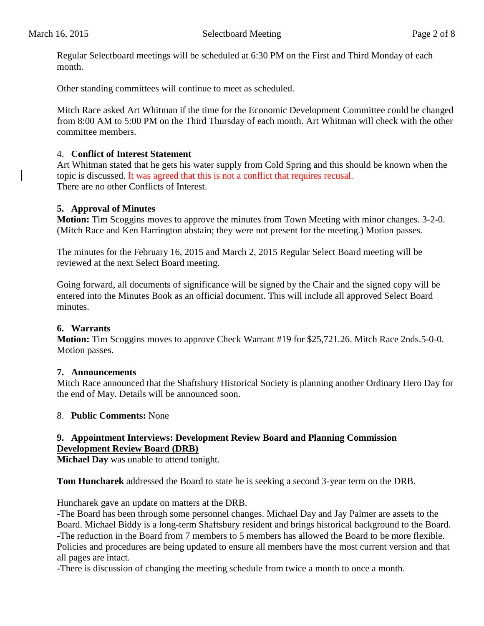Regular Selectboard meetings will be scheduled at 6:30 PM on the First and Third Monday of each month.

Other standing committees will continue to meet as scheduled.

Mitch Race asked Art Whitman if the time for the Economic Development Committee could be changed from 8:00 AM to 5:00 PM on the Third Thursday of each month. Art Whitman will check with the other committee members.

### 4. **Conflict of Interest Statement**

Art Whitman stated that he gets his water supply from Cold Spring and this should be known when the topic is discussed. It was agreed that this is not a conflict that requires recusal. There are no other Conflicts of Interest.

### **5. Approval of Minutes**

**Motion:** Tim Scoggins moves to approve the minutes from Town Meeting with minor changes. 3-2-0. (Mitch Race and Ken Harrington abstain; they were not present for the meeting.) Motion passes.

The minutes for the February 16, 2015 and March 2, 2015 Regular Select Board meeting will be reviewed at the next Select Board meeting.

Going forward, all documents of significance will be signed by the Chair and the signed copy will be entered into the Minutes Book as an official document. This will include all approved Select Board minutes.

### **6. Warrants**

**Motion:** Tim Scoggins moves to approve Check Warrant #19 for \$25,721.26. Mitch Race 2nds.5-0-0. Motion passes.

### **7. Announcements**

Mitch Race announced that the Shaftsbury Historical Society is planning another Ordinary Hero Day for the end of May. Details will be announced soon.

### 8. **Public Comments:** None

### **9. Appointment Interviews: Development Review Board and Planning Commission Development Review Board (DRB)**

**Michael Day** was unable to attend tonight.

**Tom Huncharek** addressed the Board to state he is seeking a second 3-year term on the DRB.

Huncharek gave an update on matters at the DRB.

-The Board has been through some personnel changes. Michael Day and Jay Palmer are assets to the Board. Michael Biddy is a long-term Shaftsbury resident and brings historical background to the Board. -The reduction in the Board from 7 members to 5 members has allowed the Board to be more flexible. Policies and procedures are being updated to ensure all members have the most current version and that all pages are intact.

-There is discussion of changing the meeting schedule from twice a month to once a month.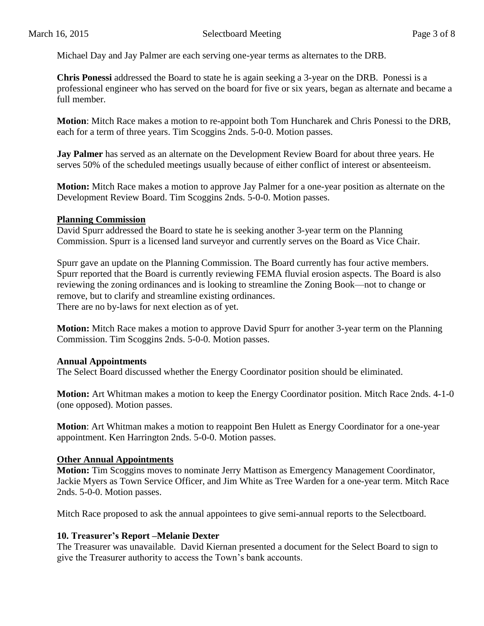Michael Day and Jay Palmer are each serving one-year terms as alternates to the DRB.

**Chris Ponessi** addressed the Board to state he is again seeking a 3-year on the DRB. Ponessi is a professional engineer who has served on the board for five or six years, began as alternate and became a full member.

**Motion**: Mitch Race makes a motion to re-appoint both Tom Huncharek and Chris Ponessi to the DRB, each for a term of three years. Tim Scoggins 2nds. 5-0-0. Motion passes.

**Jay Palmer** has served as an alternate on the Development Review Board for about three years. He serves 50% of the scheduled meetings usually because of either conflict of interest or absenteeism.

**Motion:** Mitch Race makes a motion to approve Jay Palmer for a one-year position as alternate on the Development Review Board. Tim Scoggins 2nds. 5-0-0. Motion passes.

### **Planning Commission**

David Spurr addressed the Board to state he is seeking another 3-year term on the Planning Commission. Spurr is a licensed land surveyor and currently serves on the Board as Vice Chair.

Spurr gave an update on the Planning Commission. The Board currently has four active members. Spurr reported that the Board is currently reviewing FEMA fluvial erosion aspects. The Board is also reviewing the zoning ordinances and is looking to streamline the Zoning Book—not to change or remove, but to clarify and streamline existing ordinances. There are no by-laws for next election as of yet.

**Motion:** Mitch Race makes a motion to approve David Spurr for another 3-year term on the Planning Commission. Tim Scoggins 2nds. 5-0-0. Motion passes.

### **Annual Appointments**

The Select Board discussed whether the Energy Coordinator position should be eliminated.

**Motion:** Art Whitman makes a motion to keep the Energy Coordinator position. Mitch Race 2nds. 4-1-0 (one opposed). Motion passes.

**Motion**: Art Whitman makes a motion to reappoint Ben Hulett as Energy Coordinator for a one-year appointment. Ken Harrington 2nds. 5-0-0. Motion passes.

### **Other Annual Appointments**

**Motion:** Tim Scoggins moves to nominate Jerry Mattison as Emergency Management Coordinator, Jackie Myers as Town Service Officer, and Jim White as Tree Warden for a one-year term. Mitch Race 2nds. 5-0-0. Motion passes.

Mitch Race proposed to ask the annual appointees to give semi-annual reports to the Selectboard.

### **10. Treasurer's Report –Melanie Dexter**

The Treasurer was unavailable. David Kiernan presented a document for the Select Board to sign to give the Treasurer authority to access the Town's bank accounts.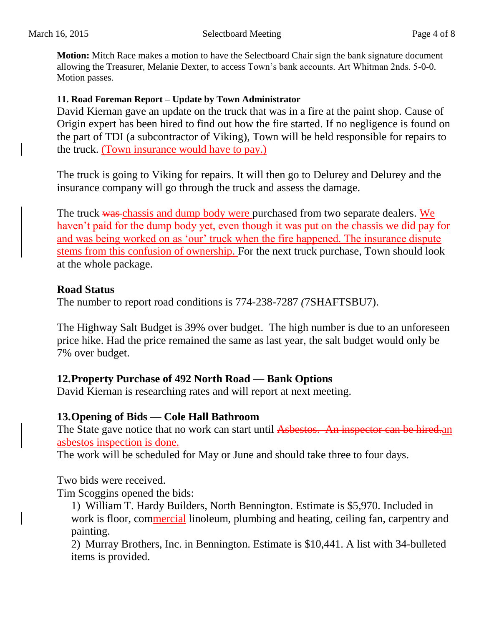**Motion:** Mitch Race makes a motion to have the Selectboard Chair sign the bank signature document allowing the Treasurer, Melanie Dexter, to access Town's bank accounts. Art Whitman 2nds. 5-0-0. Motion passes.

### **11. Road Foreman Report – Update by Town Administrator**

David Kiernan gave an update on the truck that was in a fire at the paint shop. Cause of Origin expert has been hired to find out how the fire started. If no negligence is found on the part of TDI (a subcontractor of Viking), Town will be held responsible for repairs to the truck. (Town insurance would have to pay.)

The truck is going to Viking for repairs. It will then go to Delurey and Delurey and the insurance company will go through the truck and assess the damage.

The truck was chassis and dump body were purchased from two separate dealers. We haven't paid for the dump body yet, even though it was put on the chassis we did pay for and was being worked on as 'our' truck when the fire happened. The insurance dispute stems from this confusion of ownership. For the next truck purchase, Town should look at the whole package.

### **Road Status**

The number to report road conditions is 774-238-7287 *(*7SHAFTSBU7).

The Highway Salt Budget is 39% over budget. The high number is due to an unforeseen price hike. Had the price remained the same as last year, the salt budget would only be 7% over budget.

### **12.Property Purchase of 492 North Road — Bank Options**

David Kiernan is researching rates and will report at next meeting.

## **13.Opening of Bids — Cole Hall Bathroom**

The State gave notice that no work can start until Asbestos. An inspector can be hired.an asbestos inspection is done.

The work will be scheduled for May or June and should take three to four days.

Two bids were received.

Tim Scoggins opened the bids:

1) William T. Hardy Builders, North Bennington. Estimate is \$5,970. Included in work is floor, commercial linoleum, plumbing and heating, ceiling fan, carpentry and painting.

2) Murray Brothers, Inc. in Bennington. Estimate is \$10,441. A list with 34-bulleted items is provided.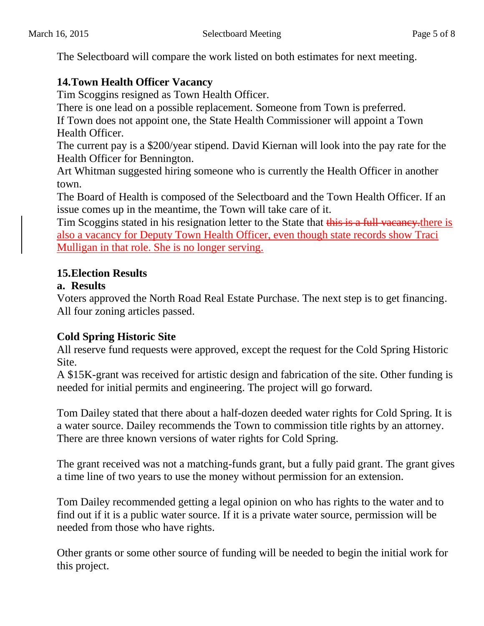The Selectboard will compare the work listed on both estimates for next meeting.

# **14.Town Health Officer Vacancy**

Tim Scoggins resigned as Town Health Officer.

There is one lead on a possible replacement. Someone from Town is preferred.

If Town does not appoint one, the State Health Commissioner will appoint a Town Health Officer.

The current pay is a \$200/year stipend. David Kiernan will look into the pay rate for the Health Officer for Bennington.

Art Whitman suggested hiring someone who is currently the Health Officer in another town.

The Board of Health is composed of the Selectboard and the Town Health Officer. If an issue comes up in the meantime, the Town will take care of it.

Tim Scoggins stated in his resignation letter to the State that this is a full vacancy.there is also a vacancy for Deputy Town Health Officer, even though state records show Traci Mulligan in that role. She is no longer serving.

## **15.Election Results**

## **a. Results**

Voters approved the North Road Real Estate Purchase. The next step is to get financing. All four zoning articles passed.

# **Cold Spring Historic Site**

All reserve fund requests were approved, except the request for the Cold Spring Historic Site.

A \$15K-grant was received for artistic design and fabrication of the site. Other funding is needed for initial permits and engineering. The project will go forward.

Tom Dailey stated that there about a half-dozen deeded water rights for Cold Spring. It is a water source. Dailey recommends the Town to commission title rights by an attorney. There are three known versions of water rights for Cold Spring.

The grant received was not a matching-funds grant, but a fully paid grant. The grant gives a time line of two years to use the money without permission for an extension.

Tom Dailey recommended getting a legal opinion on who has rights to the water and to find out if it is a public water source. If it is a private water source, permission will be needed from those who have rights.

Other grants or some other source of funding will be needed to begin the initial work for this project.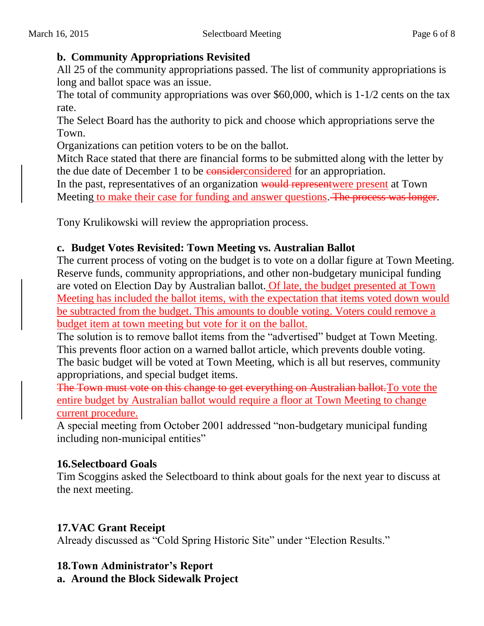## **b. Community Appropriations Revisited**

All 25 of the community appropriations passed. The list of community appropriations is long and ballot space was an issue.

The total of community appropriations was over \$60,000, which is 1-1/2 cents on the tax rate.

The Select Board has the authority to pick and choose which appropriations serve the Town.

Organizations can petition voters to be on the ballot.

Mitch Race stated that there are financial forms to be submitted along with the letter by the due date of December 1 to be considered for an appropriation.

In the past, representatives of an organization would represent were present at Town Meeting to make their case for funding and answer questions. The process was longer.

Tony Krulikowski will review the appropriation process.

# **c. Budget Votes Revisited: Town Meeting vs. Australian Ballot**

The current process of voting on the budget is to vote on a dollar figure at Town Meeting. Reserve funds, community appropriations, and other non-budgetary municipal funding are voted on Election Day by Australian ballot. Of late, the budget presented at Town Meeting has included the ballot items, with the expectation that items voted down would be subtracted from the budget. This amounts to double voting. Voters could remove a budget item at town meeting but vote for it on the ballot.

The solution is to remove ballot items from the "advertised" budget at Town Meeting. This prevents floor action on a warned ballot article, which prevents double voting. The basic budget will be voted at Town Meeting, which is all but reserves, community appropriations, and special budget items.

The Town must vote on this change to get everything on Australian ballot.To vote the entire budget by Australian ballot would require a floor at Town Meeting to change current procedure.

A special meeting from October 2001 addressed "non-budgetary municipal funding including non-municipal entities"

# **16.Selectboard Goals**

Tim Scoggins asked the Selectboard to think about goals for the next year to discuss at the next meeting.

# **17.VAC Grant Receipt**

Already discussed as "Cold Spring Historic Site" under "Election Results."

## **18.Town Administrator's Report**

**a. Around the Block Sidewalk Project**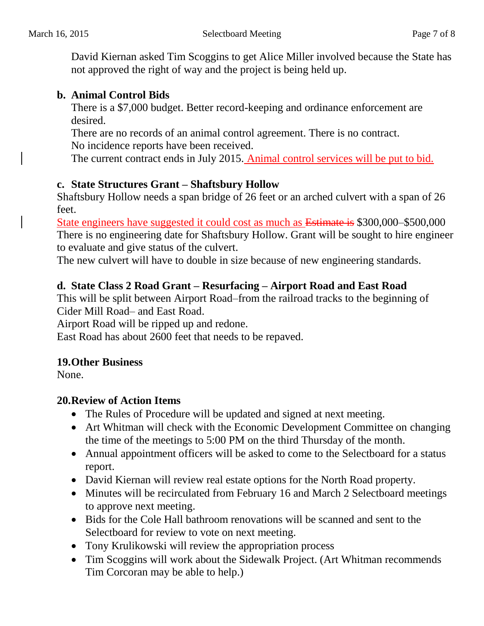David Kiernan asked Tim Scoggins to get Alice Miller involved because the State has not approved the right of way and the project is being held up.

# **b. Animal Control Bids**

There is a \$7,000 budget. Better record-keeping and ordinance enforcement are desired.

There are no records of an animal control agreement. There is no contract. No incidence reports have been received.

The current contract ends in July 2015. Animal control services will be put to bid.

## **c. State Structures Grant – Shaftsbury Hollow**

Shaftsbury Hollow needs a span bridge of 26 feet or an arched culvert with a span of 26 feet.

State engineers have suggested it could cost as much as Estimate is \$300,000–\$500,000 There is no engineering date for Shaftsbury Hollow. Grant will be sought to hire engineer to evaluate and give status of the culvert.

The new culvert will have to double in size because of new engineering standards.

# **d. State Class 2 Road Grant – Resurfacing – Airport Road and East Road**

This will be split between Airport Road–from the railroad tracks to the beginning of Cider Mill Road– and East Road.

Airport Road will be ripped up and redone.

East Road has about 2600 feet that needs to be repaved.

# **19.Other Business**

None.

## **20.Review of Action Items**

- The Rules of Procedure will be updated and signed at next meeting.
- Art Whitman will check with the Economic Development Committee on changing the time of the meetings to 5:00 PM on the third Thursday of the month.
- Annual appointment officers will be asked to come to the Selectboard for a status report.
- David Kiernan will review real estate options for the North Road property.
- Minutes will be recirculated from February 16 and March 2 Selectboard meetings to approve next meeting.
- Bids for the Cole Hall bathroom renovations will be scanned and sent to the Selectboard for review to vote on next meeting.
- Tony Krulikowski will review the appropriation process
- Tim Scoggins will work about the Sidewalk Project. (Art Whitman recommends Tim Corcoran may be able to help.)